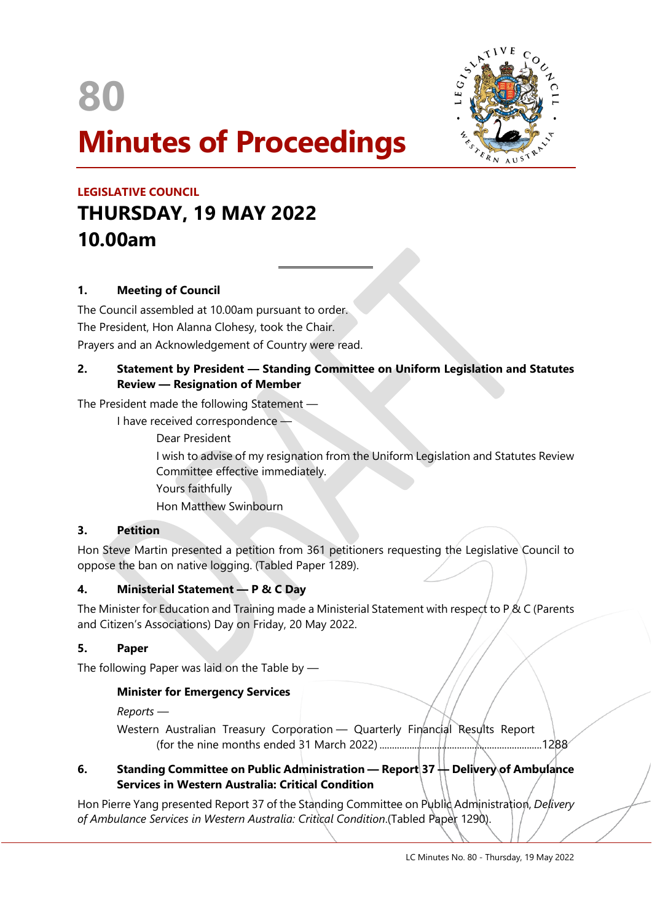

 $\overline{a}$ 



# **LEGISLATIVE COUNCIL THURSDAY, 19 MAY 2022 10.00am**

# **1. Meeting of Council**

The Council assembled at 10.00am pursuant to order. The President, Hon Alanna Clohesy, took the Chair. Prayers and an Acknowledgement of Country were read.

## **2. Statement by President — Standing Committee on Uniform Legislation and Statutes Review — Resignation of Member**

The President made the following Statement —

I have received correspondence —

Dear President

I wish to advise of my resignation from the Uniform Legislation and Statutes Review Committee effective immediately. Yours faithfully

Hon Matthew Swinbourn

# **3. Petition**

Hon Steve Martin presented a petition from 361 petitioners requesting the Legislative Council to oppose the ban on native logging. (Tabled Paper 1289).

# **4. Ministerial Statement — P & C Day**

The Minister for Education and Training made a Ministerial Statement with respect to P & C (Parents and Citizen's Associations) Day on Friday, 20 May 2022.

# **5. Paper**

The following Paper was laid on the Table by —

# **Minister for Emergency Services**

*Reports —*

Western Australian Treasury Corporation - Quarterly Financial Results Report (for the nine months ended 31 March 2022) .................................................................1288

# **6. Standing Committee on Public Administration — Report 37 — Delivery of Ambulance Services in Western Australia: Critical Condition**

Hon Pierre Yang presented Report 37 of the Standing Committee on Public Administration, *Delivery of Ambulance Services in Western Australia: Critical Condition*.(Tabled Paper 1290).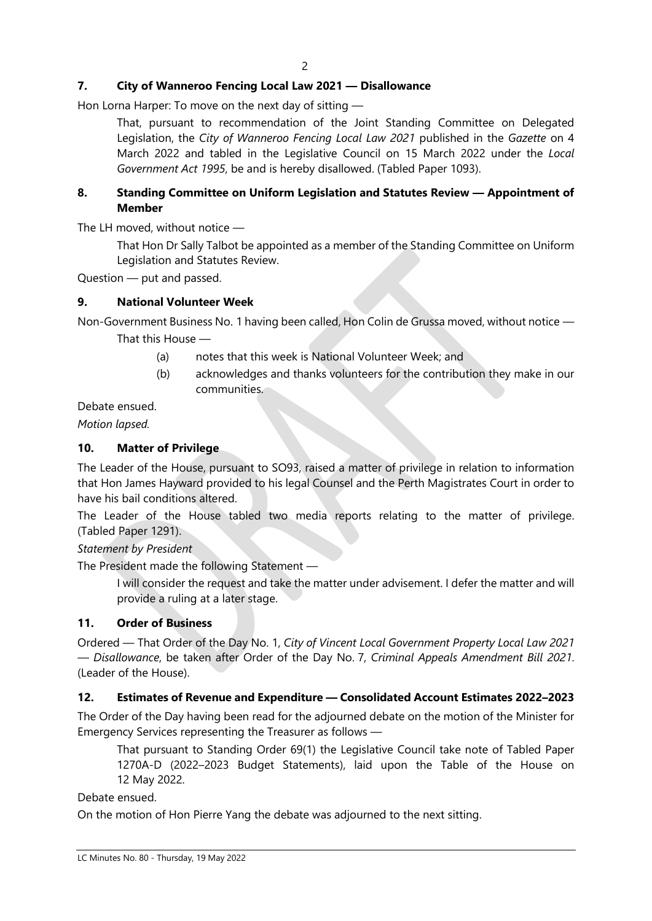# **7. City of Wanneroo Fencing Local Law 2021 — Disallowance**

Hon Lorna Harper: To move on the next day of sitting —

That, pursuant to recommendation of the Joint Standing Committee on Delegated Legislation, the *City of Wanneroo Fencing Local Law 2021* published in the *Gazette* on 4 March 2022 and tabled in the Legislative Council on 15 March 2022 under the *Local Government Act 1995*, be and is hereby disallowed. (Tabled Paper 1093).

## **8. Standing Committee on Uniform Legislation and Statutes Review — Appointment of Member**

The LH moved, without notice —

That Hon Dr Sally Talbot be appointed as a member of the Standing Committee on Uniform Legislation and Statutes Review.

Question — put and passed.

#### **9. National Volunteer Week**

Non-Government Business No. 1 having been called, Hon Colin de Grussa moved, without notice — That this House —

- (a) notes that this week is National Volunteer Week; and
- (b) acknowledges and thanks volunteers for the contribution they make in our communities.

Debate ensued.

*Motion lapsed.*

## **10. Matter of Privilege**

The Leader of the House, pursuant to SO93, raised a matter of privilege in relation to information that Hon James Hayward provided to his legal Counsel and the Perth Magistrates Court in order to have his bail conditions altered.

The Leader of the House tabled two media reports relating to the matter of privilege. (Tabled Paper 1291).

*Statement by President*

The President made the following Statement —

I will consider the request and take the matter under advisement. I defer the matter and will provide a ruling at a later stage.

#### **11. Order of Business**

Ordered — That Order of the Day No. 1, *City of Vincent Local Government Property Local Law 2021 — Disallowance*, be taken after Order of the Day No. 7, *Criminal Appeals Amendment Bill 2021*. (Leader of the House).

#### **12. Estimates of Revenue and Expenditure — Consolidated Account Estimates 2022–2023**

The Order of the Day having been read for the adjourned debate on the motion of the Minister for Emergency Services representing the Treasurer as follows —

That pursuant to Standing Order 69(1) the Legislative Council take note of Tabled Paper 1270A-D (2022–2023 Budget Statements), laid upon the Table of the House on 12 May 2022.

Debate ensued.

On the motion of Hon Pierre Yang the debate was adjourned to the next sitting.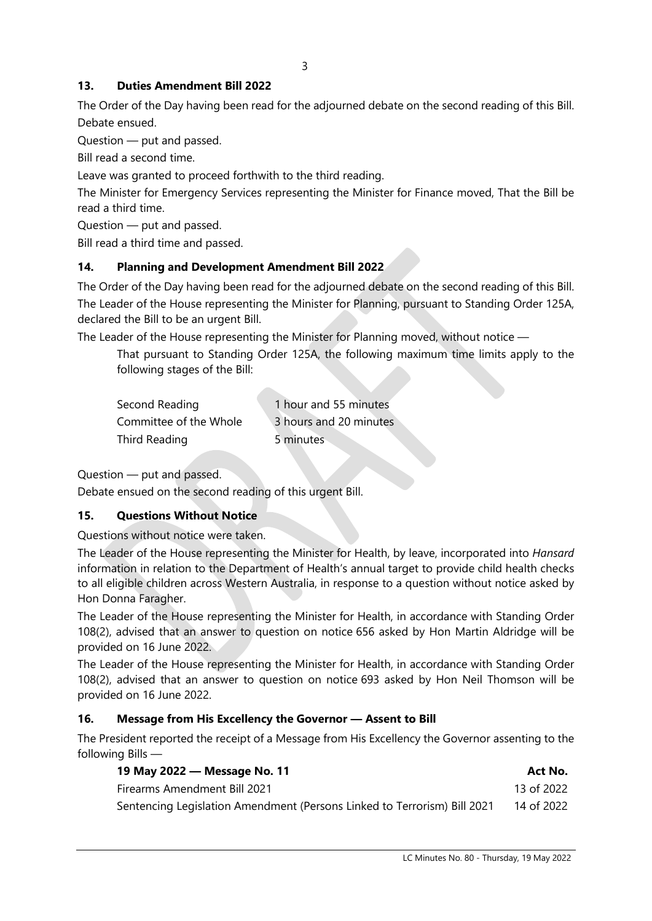# **13. Duties Amendment Bill 2022**

The Order of the Day having been read for the adjourned debate on the second reading of this Bill. Debate ensued.

Question — put and passed.

Bill read a second time.

Leave was granted to proceed forthwith to the third reading.

The Minister for Emergency Services representing the Minister for Finance moved, That the Bill be read a third time.

Question — put and passed.

Bill read a third time and passed.

# **14. Planning and Development Amendment Bill 2022**

The Order of the Day having been read for the adjourned debate on the second reading of this Bill. The Leader of the House representing the Minister for Planning, pursuant to Standing Order 125A, declared the Bill to be an urgent Bill.

The Leader of the House representing the Minister for Planning moved, without notice —

That pursuant to Standing Order 125A, the following maximum time limits apply to the following stages of the Bill:

| Second Reading         | 1 hour and 55 minutes  |
|------------------------|------------------------|
| Committee of the Whole | 3 hours and 20 minutes |
| Third Reading          | 5 minutes              |

Question — put and passed.

Debate ensued on the second reading of this urgent Bill.

# **15. Questions Without Notice**

Questions without notice were taken.

The Leader of the House representing the Minister for Health, by leave, incorporated into *Hansard* information in relation to the Department of Health's annual target to provide child health checks to all eligible children across Western Australia, in response to a question without notice asked by Hon Donna Faragher.

The Leader of the House representing the Minister for Health, in accordance with Standing Order 108(2), advised that an answer to question on notice 656 asked by Hon Martin Aldridge will be provided on 16 June 2022.

The Leader of the House representing the Minister for Health, in accordance with Standing Order 108(2), advised that an answer to question on notice 693 asked by Hon Neil Thomson will be provided on 16 June 2022.

# **16. Message from His Excellency the Governor — Assent to Bill**

The President reported the receipt of a Message from His Excellency the Governor assenting to the following Bills —

| 19 May 2022 — Message No. 11                                             | Act No.    |
|--------------------------------------------------------------------------|------------|
| <b>Firearms Amendment Bill 2021</b>                                      | 13 of 2022 |
| Sentencing Legislation Amendment (Persons Linked to Terrorism) Bill 2021 | 14 of 2022 |